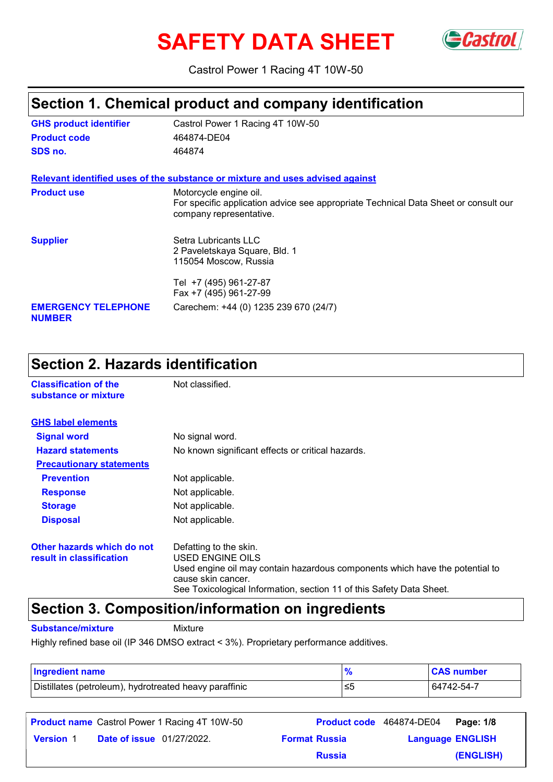# SAFETY DATA SHEET GCastrol



Castrol Power 1 Racing 4T 10W-50

### **Section 1. Chemical product and company identification**

| <b>GHS product identifier</b>               | Castrol Power 1 Racing 4T 10W-50                                                                                                         |
|---------------------------------------------|------------------------------------------------------------------------------------------------------------------------------------------|
| <b>Product code</b>                         | 464874-DE04                                                                                                                              |
| SDS no.                                     | 464874                                                                                                                                   |
|                                             | Relevant identified uses of the substance or mixture and uses advised against                                                            |
| <b>Product use</b>                          | Motorcycle engine oil.<br>For specific application advice see appropriate Technical Data Sheet or consult our<br>company representative. |
| <b>Supplier</b>                             | Setra Lubricants LLC<br>2 Paveletskaya Square, Bld. 1<br>115054 Moscow, Russia                                                           |
|                                             | Tel +7 (495) 961-27-87<br>Fax +7 (495) 961-27-99                                                                                         |
| <b>EMERGENCY TELEPHONE</b><br><b>NUMBER</b> | Carechem: +44 (0) 1235 239 670 (24/7)                                                                                                    |

## **Section 2. Hazards identification**

| <b>Classification of the</b><br>substance or mixture   | Not classified.                                                                                                                                                                                                          |
|--------------------------------------------------------|--------------------------------------------------------------------------------------------------------------------------------------------------------------------------------------------------------------------------|
| <b>GHS label elements</b>                              |                                                                                                                                                                                                                          |
| <b>Signal word</b>                                     | No signal word.                                                                                                                                                                                                          |
| <b>Hazard statements</b>                               | No known significant effects or critical hazards.                                                                                                                                                                        |
| <b>Precautionary statements</b>                        |                                                                                                                                                                                                                          |
| <b>Prevention</b>                                      | Not applicable.                                                                                                                                                                                                          |
| <b>Response</b>                                        | Not applicable.                                                                                                                                                                                                          |
| <b>Storage</b>                                         | Not applicable.                                                                                                                                                                                                          |
| <b>Disposal</b>                                        | Not applicable.                                                                                                                                                                                                          |
| Other hazards which do not<br>result in classification | Defatting to the skin.<br>USED ENGINE OILS<br>Used engine oil may contain hazardous components which have the potential to<br>cause skin cancer.<br>See Toxicological Information, section 11 of this Safety Data Sheet. |

### **Section 3. Composition/information on ingredients**

**Substance/mixture Mixture** 

Highly refined base oil (IP 346 DMSO extract < 3%). Proprietary performance additives.

| <b>Ingredient name</b>                                 |    | <b>CAS number</b> |
|--------------------------------------------------------|----|-------------------|
| Distillates (petroleum), hydrotreated heavy paraffinic | ≤5 | 64742-54-7        |

| <b>Product name</b> Castrol Power 1 Racing 4T 10W-50 |                      | Product code 464874-DE04 Page: 1/8 |           |
|------------------------------------------------------|----------------------|------------------------------------|-----------|
| <b>Version 1</b><br><b>Date of issue</b> 01/27/2022. | <b>Format Russia</b> | <b>Language ENGLISH</b>            |           |
|                                                      | <b>Russia</b>        |                                    | (ENGLISH) |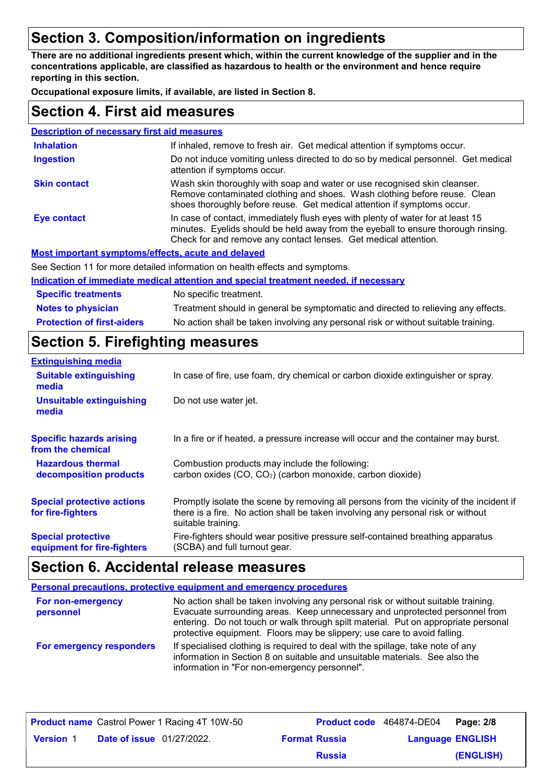### **Section 3. Composition/information on ingredients**

**There are no additional ingredients present which, within the current knowledge of the supplier and in the concentrations applicable, are classified as hazardous to health or the environment and hence require reporting in this section.**

**Occupational exposure limits, if available, are listed in Section 8.**

### **Section 4. First aid measures**

| <b>Description of necessary first aid measures</b>        |                                                                                                                                                                                                                                         |
|-----------------------------------------------------------|-----------------------------------------------------------------------------------------------------------------------------------------------------------------------------------------------------------------------------------------|
| <b>Inhalation</b>                                         | If inhaled, remove to fresh air. Get medical attention if symptoms occur.                                                                                                                                                               |
| <b>Ingestion</b>                                          | Do not induce vomiting unless directed to do so by medical personnel. Get medical<br>attention if symptoms occur.                                                                                                                       |
| <b>Skin contact</b>                                       | Wash skin thoroughly with soap and water or use recognised skin cleanser.<br>Remove contaminated clothing and shoes. Wash clothing before reuse. Clean<br>shoes thoroughly before reuse. Get medical attention if symptoms occur.       |
| Eye contact                                               | In case of contact, immediately flush eyes with plenty of water for at least 15<br>minutes. Eyelids should be held away from the eyeball to ensure thorough rinsing.<br>Check for and remove any contact lenses. Get medical attention. |
| <b>Most important symptoms/effects, acute and delayed</b> |                                                                                                                                                                                                                                         |
|                                                           | See Section 11 for more detailed information on health effects and symptoms.                                                                                                                                                            |
|                                                           | <u>Indication of immediate medical attention and special treatment needed, if necessary</u>                                                                                                                                             |

| <b>Specific treatments</b>        | No specific treatment.                                                             |
|-----------------------------------|------------------------------------------------------------------------------------|
| <b>Notes to physician</b>         | Treatment should in general be symptomatic and directed to relieving any effects.  |
| <b>Protection of first-aiders</b> | No action shall be taken involving any personal risk or without suitable training. |

### **Section 5. Firefighting measures**

| <b>Extinguishing media</b>                               |                                                                                                                                                                                                   |
|----------------------------------------------------------|---------------------------------------------------------------------------------------------------------------------------------------------------------------------------------------------------|
| <b>Suitable extinguishing</b><br>media                   | In case of fire, use foam, dry chemical or carbon dioxide extinguisher or spray.                                                                                                                  |
| <b>Unsuitable extinguishing</b><br>media                 | Do not use water jet.                                                                                                                                                                             |
| <b>Specific hazards arising</b><br>from the chemical     | In a fire or if heated, a pressure increase will occur and the container may burst.                                                                                                               |
| <b>Hazardous thermal</b><br>decomposition products       | Combustion products may include the following:<br>carbon oxides (CO, CO <sub>2</sub> ) (carbon monoxide, carbon dioxide)                                                                          |
| <b>Special protective actions</b><br>for fire-fighters   | Promptly isolate the scene by removing all persons from the vicinity of the incident if<br>there is a fire. No action shall be taken involving any personal risk or without<br>suitable training. |
| <b>Special protective</b><br>equipment for fire-fighters | Fire-fighters should wear positive pressure self-contained breathing apparatus<br>(SCBA) and full turnout gear.                                                                                   |

### **Section 6. Accidental release measures**

|                                | <b>Personal precautions, protective equipment and emergency procedures</b>                                                                                                                                                                                                                                                          |
|--------------------------------|-------------------------------------------------------------------------------------------------------------------------------------------------------------------------------------------------------------------------------------------------------------------------------------------------------------------------------------|
| For non-emergency<br>personnel | No action shall be taken involving any personal risk or without suitable training.<br>Evacuate surrounding areas. Keep unnecessary and unprotected personnel from<br>entering. Do not touch or walk through spilt material. Put on appropriate personal<br>protective equipment. Floors may be slippery; use care to avoid falling. |
| For emergency responders       | If specialised clothing is required to deal with the spillage, take note of any<br>information in Section 8 on suitable and unsuitable materials. See also the<br>information in "For non-emergency personnel".                                                                                                                     |

|                  |                                  | <b>Product name</b> Castrol Power 1 Racing 4T 10W-50 |                      | <b>Product code</b> 464874-DE04 | Page: 2/8 |
|------------------|----------------------------------|------------------------------------------------------|----------------------|---------------------------------|-----------|
| <b>Version 1</b> | <b>Date of issue</b> 01/27/2022. |                                                      | <b>Format Russia</b> | <b>Language ENGLISH</b>         |           |
|                  |                                  |                                                      | <b>Russia</b>        |                                 | (ENGLISH) |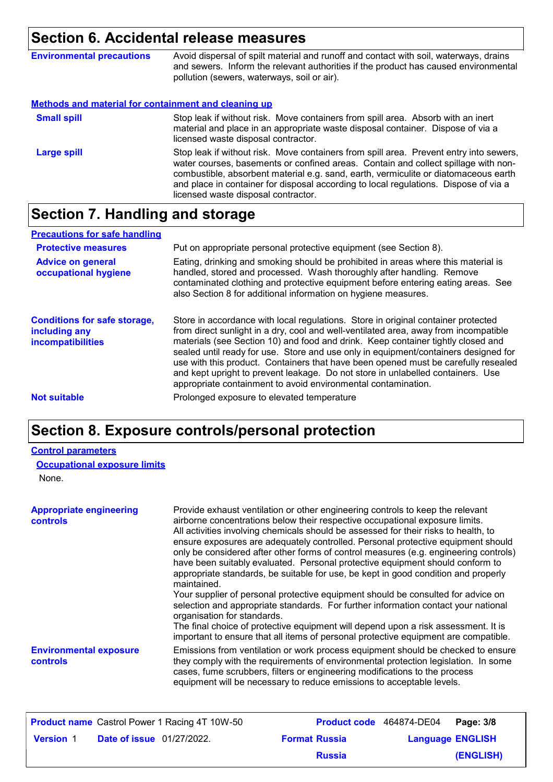### **Section 6. Accidental release measures**

|                                                                                                                                                                             | Avoid dispersal of spilt material and runoff and contact with soil, waterways, drains<br>and sewers. Inform the relevant authorities if the product has caused environmental<br>pollution (sewers, waterways, soil or air).                                                                                                                                 |
|-----------------------------------------------------------------------------------------------------------------------------------------------------------------------------|-------------------------------------------------------------------------------------------------------------------------------------------------------------------------------------------------------------------------------------------------------------------------------------------------------------------------------------------------------------|
| <b>Environmental precautions</b><br>Methods and material for containment and cleaning up<br><b>Small spill</b><br>licensed waste disposal contractor.<br><b>Large spill</b> |                                                                                                                                                                                                                                                                                                                                                             |
|                                                                                                                                                                             | Stop leak if without risk. Move containers from spill area. Absorb with an inert<br>material and place in an appropriate waste disposal container. Dispose of via a                                                                                                                                                                                         |
|                                                                                                                                                                             | Stop leak if without risk. Move containers from spill area. Prevent entry into sewers,<br>water courses, basements or confined areas. Contain and collect spillage with non-<br>combustible, absorbent material e.g. sand, earth, vermiculite or diatomaceous earth<br>and place in container for disposal according to local regulations. Dispose of via a |

licensed waste disposal contractor.

### **Section 7. Handling and storage**

| <b>Precautions for safe handling</b>                                             |                                                                                                                                                                                                                                                                                                                                                                                                                                                                                                                                                                                                |
|----------------------------------------------------------------------------------|------------------------------------------------------------------------------------------------------------------------------------------------------------------------------------------------------------------------------------------------------------------------------------------------------------------------------------------------------------------------------------------------------------------------------------------------------------------------------------------------------------------------------------------------------------------------------------------------|
| <b>Protective measures</b>                                                       | Put on appropriate personal protective equipment (see Section 8).                                                                                                                                                                                                                                                                                                                                                                                                                                                                                                                              |
| <b>Advice on general</b><br>occupational hygiene                                 | Eating, drinking and smoking should be prohibited in areas where this material is<br>handled, stored and processed. Wash thoroughly after handling. Remove<br>contaminated clothing and protective equipment before entering eating areas. See<br>also Section 8 for additional information on hygiene measures.                                                                                                                                                                                                                                                                               |
| <b>Conditions for safe storage,</b><br>including any<br><b>incompatibilities</b> | Store in accordance with local regulations. Store in original container protected<br>from direct sunlight in a dry, cool and well-ventilated area, away from incompatible<br>materials (see Section 10) and food and drink. Keep container tightly closed and<br>sealed until ready for use. Store and use only in equipment/containers designed for<br>use with this product. Containers that have been opened must be carefully resealed<br>and kept upright to prevent leakage. Do not store in unlabelled containers. Use<br>appropriate containment to avoid environmental contamination. |
| <b>Not suitable</b>                                                              | Prolonged exposure to elevated temperature                                                                                                                                                                                                                                                                                                                                                                                                                                                                                                                                                     |

### **Section 8. Exposure controls/personal protection**

#### **Control parameters**

| <b>Occupational exposure limits</b> |  |  |  |
|-------------------------------------|--|--|--|
|-------------------------------------|--|--|--|

None.

| <b>Appropriate engineering</b><br><b>controls</b> | Provide exhaust ventilation or other engineering controls to keep the relevant<br>airborne concentrations below their respective occupational exposure limits.<br>All activities involving chemicals should be assessed for their risks to health, to<br>ensure exposures are adequately controlled. Personal protective equipment should<br>only be considered after other forms of control measures (e.g. engineering controls)<br>have been suitably evaluated. Personal protective equipment should conform to<br>appropriate standards, be suitable for use, be kept in good condition and properly<br>maintained.<br>Your supplier of personal protective equipment should be consulted for advice on<br>selection and appropriate standards. For further information contact your national<br>organisation for standards.<br>The final choice of protective equipment will depend upon a risk assessment. It is<br>important to ensure that all items of personal protective equipment are compatible. |
|---------------------------------------------------|---------------------------------------------------------------------------------------------------------------------------------------------------------------------------------------------------------------------------------------------------------------------------------------------------------------------------------------------------------------------------------------------------------------------------------------------------------------------------------------------------------------------------------------------------------------------------------------------------------------------------------------------------------------------------------------------------------------------------------------------------------------------------------------------------------------------------------------------------------------------------------------------------------------------------------------------------------------------------------------------------------------|
| <b>Environmental exposure</b><br><b>controls</b>  | Emissions from ventilation or work process equipment should be checked to ensure<br>they comply with the requirements of environmental protection legislation. In some<br>cases, fume scrubbers, filters or engineering modifications to the process<br>equipment will be necessary to reduce emissions to acceptable levels.                                                                                                                                                                                                                                                                                                                                                                                                                                                                                                                                                                                                                                                                                 |

| <b>Product name</b> Castrol Power 1 Racing 4T 10W-50 |                      | Product code 464874-DE04 Page: 3/8 |
|------------------------------------------------------|----------------------|------------------------------------|
| <b>Date of issue</b> 01/27/2022.<br><b>Version 1</b> | <b>Format Russia</b> | <b>Language ENGLISH</b>            |
|                                                      | <b>Russia</b>        | (ENGLISH)                          |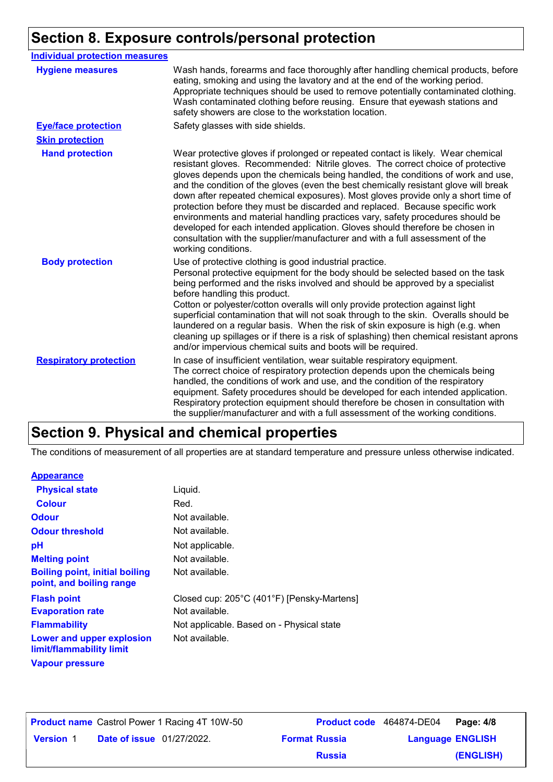### **Section 8. Exposure controls/personal protection**

| <b>Individual protection measures</b> |                                                                                                                                                                                                                                                                                                                                                                                                                                                                                                                                                                                                                                                                                                                                                                                                 |
|---------------------------------------|-------------------------------------------------------------------------------------------------------------------------------------------------------------------------------------------------------------------------------------------------------------------------------------------------------------------------------------------------------------------------------------------------------------------------------------------------------------------------------------------------------------------------------------------------------------------------------------------------------------------------------------------------------------------------------------------------------------------------------------------------------------------------------------------------|
| <b>Hygiene measures</b>               | Wash hands, forearms and face thoroughly after handling chemical products, before<br>eating, smoking and using the lavatory and at the end of the working period.<br>Appropriate techniques should be used to remove potentially contaminated clothing.<br>Wash contaminated clothing before reusing. Ensure that eyewash stations and<br>safety showers are close to the workstation location.                                                                                                                                                                                                                                                                                                                                                                                                 |
| <b>Eve/face protection</b>            | Safety glasses with side shields.                                                                                                                                                                                                                                                                                                                                                                                                                                                                                                                                                                                                                                                                                                                                                               |
| <b>Skin protection</b>                |                                                                                                                                                                                                                                                                                                                                                                                                                                                                                                                                                                                                                                                                                                                                                                                                 |
| <b>Hand protection</b>                | Wear protective gloves if prolonged or repeated contact is likely. Wear chemical<br>resistant gloves. Recommended: Nitrile gloves. The correct choice of protective<br>gloves depends upon the chemicals being handled, the conditions of work and use,<br>and the condition of the gloves (even the best chemically resistant glove will break<br>down after repeated chemical exposures). Most gloves provide only a short time of<br>protection before they must be discarded and replaced. Because specific work<br>environments and material handling practices vary, safety procedures should be<br>developed for each intended application. Gloves should therefore be chosen in<br>consultation with the supplier/manufacturer and with a full assessment of the<br>working conditions. |
| <b>Body protection</b>                | Use of protective clothing is good industrial practice.<br>Personal protective equipment for the body should be selected based on the task<br>being performed and the risks involved and should be approved by a specialist<br>before handling this product.<br>Cotton or polyester/cotton overalls will only provide protection against light<br>superficial contamination that will not soak through to the skin. Overalls should be<br>laundered on a regular basis. When the risk of skin exposure is high (e.g. when<br>cleaning up spillages or if there is a risk of splashing) then chemical resistant aprons<br>and/or impervious chemical suits and boots will be required.                                                                                                           |
| <b>Respiratory protection</b>         | In case of insufficient ventilation, wear suitable respiratory equipment.<br>The correct choice of respiratory protection depends upon the chemicals being<br>handled, the conditions of work and use, and the condition of the respiratory<br>equipment. Safety procedures should be developed for each intended application.<br>Respiratory protection equipment should therefore be chosen in consultation with<br>the supplier/manufacturer and with a full assessment of the working conditions.                                                                                                                                                                                                                                                                                           |

### **Section 9. Physical and chemical properties**

The conditions of measurement of all properties are at standard temperature and pressure unless otherwise indicated.

#### **Appearance**

| <b>Physical state</b>                                             | Liquid.                                    |
|-------------------------------------------------------------------|--------------------------------------------|
| <b>Colour</b>                                                     | Red.                                       |
| <b>Odour</b>                                                      | Not available.                             |
| <b>Odour threshold</b>                                            | Not available.                             |
| рH                                                                | Not applicable.                            |
| <b>Melting point</b>                                              | Not available.                             |
| <b>Boiling point, initial boiling</b><br>point, and boiling range | Not available.                             |
| <b>Flash point</b>                                                | Closed cup: 205°C (401°F) [Pensky-Martens] |
| <b>Evaporation rate</b>                                           | Not available.                             |
| <b>Flammability</b>                                               | Not applicable. Based on - Physical state  |
| Lower and upper explosion<br>limit/flammability limit             | Not available.                             |
| <b>Vapour pressure</b>                                            |                                            |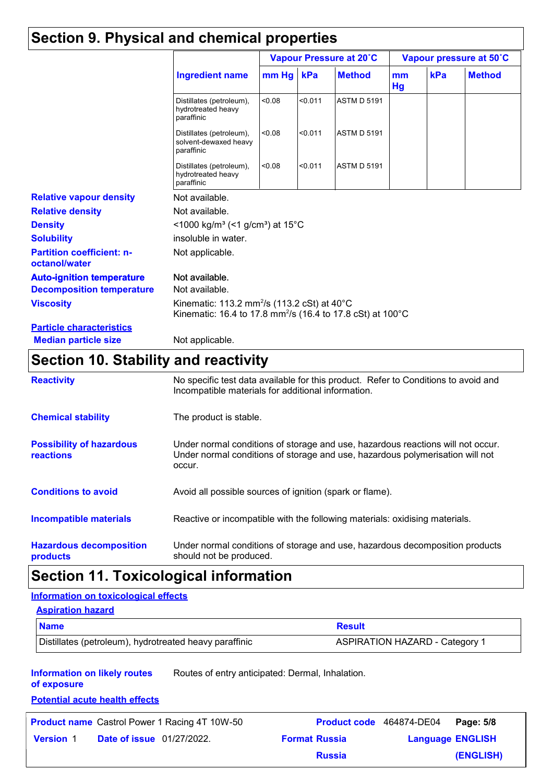### **Section 9. Physical and chemical properties**

|                                                   |                                                                                                                                              | Vapour Pressure at 20°C |         |                    | Vapour pressure at 50°C |     |               |
|---------------------------------------------------|----------------------------------------------------------------------------------------------------------------------------------------------|-------------------------|---------|--------------------|-------------------------|-----|---------------|
|                                                   | <b>Ingredient name</b>                                                                                                                       | $mm$ Hg                 | kPa     | <b>Method</b>      | mm<br>Hg                | kPa | <b>Method</b> |
|                                                   | Distillates (petroleum),<br>hydrotreated heavy<br>paraffinic                                                                                 | < 0.08                  | < 0.011 | <b>ASTM D 5191</b> |                         |     |               |
|                                                   | Distillates (petroleum),<br>solvent-dewaxed heavy<br>paraffinic                                                                              | < 0.08                  | < 0.011 | <b>ASTM D 5191</b> |                         |     |               |
|                                                   | Distillates (petroleum),<br>hydrotreated heavy<br>paraffinic                                                                                 | < 0.08                  | < 0.011 | <b>ASTM D 5191</b> |                         |     |               |
| <b>Relative vapour density</b>                    | Not available.                                                                                                                               |                         |         |                    |                         |     |               |
| <b>Relative density</b>                           | Not available.                                                                                                                               |                         |         |                    |                         |     |               |
| <b>Density</b>                                    | <1000 kg/m <sup>3</sup> (<1 g/cm <sup>3</sup> ) at 15°C                                                                                      |                         |         |                    |                         |     |               |
| <b>Solubility</b>                                 | insoluble in water.                                                                                                                          |                         |         |                    |                         |     |               |
| <b>Partition coefficient: n-</b><br>octanol/water | Not applicable.                                                                                                                              |                         |         |                    |                         |     |               |
| <b>Auto-ignition temperature</b>                  | Not available.                                                                                                                               |                         |         |                    |                         |     |               |
| <b>Decomposition temperature</b>                  | Not available.                                                                                                                               |                         |         |                    |                         |     |               |
| <b>Viscosity</b>                                  | Kinematic: 113.2 mm <sup>2</sup> /s (113.2 cSt) at $40^{\circ}$ C<br>Kinematic: 16.4 to 17.8 mm <sup>2</sup> /s (16.4 to 17.8 cSt) at 100 °C |                         |         |                    |                         |     |               |
| <b>Particle characteristics</b>                   |                                                                                                                                              |                         |         |                    |                         |     |               |
| <b>Median particle size</b>                       | Not applicable.                                                                                                                              |                         |         |                    |                         |     |               |

### **Section 10. Stability and reactivity**

| <b>Reactivity</b>                                   | No specific test data available for this product. Refer to Conditions to avoid and<br>Incompatible materials for additional information.                                   |
|-----------------------------------------------------|----------------------------------------------------------------------------------------------------------------------------------------------------------------------------|
| <b>Chemical stability</b>                           | The product is stable.                                                                                                                                                     |
| <b>Possibility of hazardous</b><br><b>reactions</b> | Under normal conditions of storage and use, hazardous reactions will not occur.<br>Under normal conditions of storage and use, hazardous polymerisation will not<br>occur. |
| <b>Conditions to avoid</b>                          | Avoid all possible sources of ignition (spark or flame).                                                                                                                   |
| <b>Incompatible materials</b>                       | Reactive or incompatible with the following materials: oxidising materials.                                                                                                |
| <b>Hazardous decomposition</b><br>products          | Under normal conditions of storage and use, hazardous decomposition products<br>should not be produced.                                                                    |

### **Section 11. Toxicological information**

### **Information on toxicological effects**

| <b>Aspiration hazard</b>                               |                                       |
|--------------------------------------------------------|---------------------------------------|
| <b>Name</b>                                            | <b>Result</b>                         |
| Distillates (petroleum), hydrotreated heavy paraffinic | <b>ASPIRATION HAZARD - Category 1</b> |

**Information on likely routes**  Routes of entry anticipated: Dermal, Inhalation.

**of exposure Potential acute health effects**

| <u>FUIGHINGI ACUIG HEAINH GHECIS</u>                 |                      |                                 |                         |           |
|------------------------------------------------------|----------------------|---------------------------------|-------------------------|-----------|
| <b>Product name</b> Castrol Power 1 Racing 4T 10W-50 |                      | <b>Product code</b> 464874-DE04 |                         | Page: 5/8 |
| <b>Date of issue</b> 01/27/2022.<br><b>Version 1</b> | <b>Format Russia</b> |                                 | <b>Language ENGLISH</b> |           |
|                                                      |                      | <b>Russia</b>                   |                         | (ENGLISH) |
|                                                      |                      |                                 |                         |           |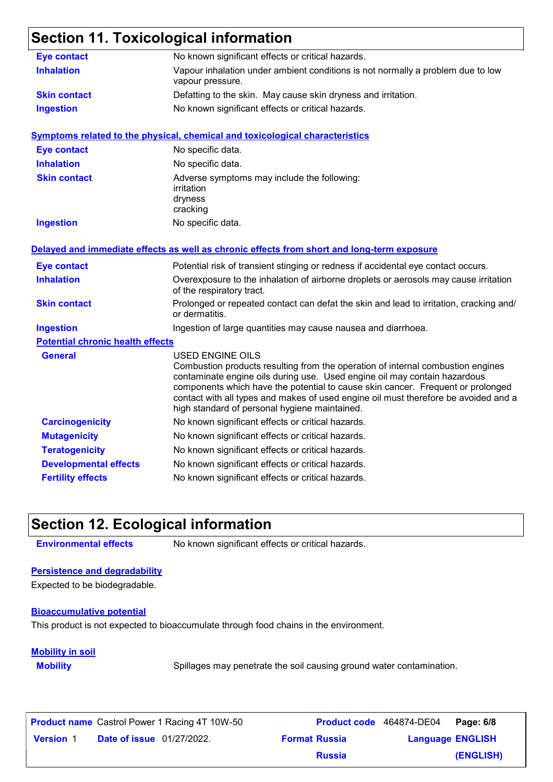### **Section 11. Toxicological information**

| <b>Eye contact</b>                      | No known significant effects or critical hazards.                                                                                                                                                                                                                                                                                                                                                                  |
|-----------------------------------------|--------------------------------------------------------------------------------------------------------------------------------------------------------------------------------------------------------------------------------------------------------------------------------------------------------------------------------------------------------------------------------------------------------------------|
| <b>Inhalation</b>                       | Vapour inhalation under ambient conditions is not normally a problem due to low<br>vapour pressure.                                                                                                                                                                                                                                                                                                                |
| <b>Skin contact</b>                     | Defatting to the skin. May cause skin dryness and irritation.                                                                                                                                                                                                                                                                                                                                                      |
| <b>Ingestion</b>                        | No known significant effects or critical hazards.                                                                                                                                                                                                                                                                                                                                                                  |
|                                         | <b>Symptoms related to the physical, chemical and toxicological characteristics</b>                                                                                                                                                                                                                                                                                                                                |
| <b>Eye contact</b>                      | No specific data.                                                                                                                                                                                                                                                                                                                                                                                                  |
| <b>Inhalation</b>                       | No specific data.                                                                                                                                                                                                                                                                                                                                                                                                  |
| <b>Skin contact</b>                     | Adverse symptoms may include the following:<br>irritation<br>dryness<br>cracking                                                                                                                                                                                                                                                                                                                                   |
| <b>Ingestion</b>                        | No specific data.                                                                                                                                                                                                                                                                                                                                                                                                  |
|                                         | Delayed and immediate effects as well as chronic effects from short and long-term exposure                                                                                                                                                                                                                                                                                                                         |
| <b>Eye contact</b>                      | Potential risk of transient stinging or redness if accidental eye contact occurs.                                                                                                                                                                                                                                                                                                                                  |
| <b>Inhalation</b>                       | Overexposure to the inhalation of airborne droplets or aerosols may cause irritation<br>of the respiratory tract.                                                                                                                                                                                                                                                                                                  |
| <b>Skin contact</b>                     | Prolonged or repeated contact can defat the skin and lead to irritation, cracking and/<br>or dermatitis.                                                                                                                                                                                                                                                                                                           |
| <b>Ingestion</b>                        | Ingestion of large quantities may cause nausea and diarrhoea.                                                                                                                                                                                                                                                                                                                                                      |
| <b>Potential chronic health effects</b> |                                                                                                                                                                                                                                                                                                                                                                                                                    |
| <b>General</b>                          | <b>USED ENGINE OILS</b><br>Combustion products resulting from the operation of internal combustion engines<br>contaminate engine oils during use. Used engine oil may contain hazardous<br>components which have the potential to cause skin cancer. Frequent or prolonged<br>contact with all types and makes of used engine oil must therefore be avoided and a<br>high standard of personal hygiene maintained. |
| <b>Carcinogenicity</b>                  | No known significant effects or critical hazards.                                                                                                                                                                                                                                                                                                                                                                  |
| <b>Mutagenicity</b>                     | No known significant effects or critical hazards.                                                                                                                                                                                                                                                                                                                                                                  |
| <b>Teratogenicity</b>                   | No known significant effects or critical hazards.                                                                                                                                                                                                                                                                                                                                                                  |
| <b>Developmental effects</b>            | No known significant effects or critical hazards.                                                                                                                                                                                                                                                                                                                                                                  |
| <b>Fertility effects</b>                | No known significant effects or critical hazards.                                                                                                                                                                                                                                                                                                                                                                  |

### **Section 12. Ecological information**

**Environmental effects** No known significant effects or critical hazards.

#### **Persistence and degradability**

Expected to be biodegradable.

#### **Bioaccumulative potential**

This product is not expected to bioaccumulate through food chains in the environment.

#### **Mobility in soil**

**Mobility** Spillages may penetrate the soil causing ground water contamination.

**Date of issue** 01/27/2022. **Version** 1 **Format Russia Language Product name** Castrol Power 1 Racing 4T 10W-50 **Product code** 464874-DE04 **Page: 6/8** 

**Language ENGLISH (ENGLISH) Product code** 464874-DE04 Page: 6/8 **Russia**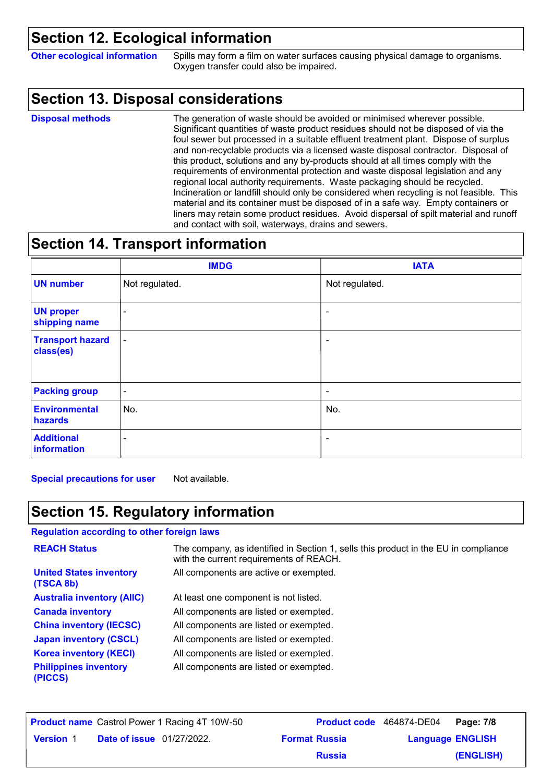### **Section 12. Ecological information**

**Other ecological information** Spills may form a film on water surfaces causing physical damage to organisms. Oxygen transfer could also be impaired.

### **Section 13. Disposal considerations**

The generation of waste should be avoided or minimised wherever possible. Significant quantities of waste product residues should not be disposed of via the foul sewer but processed in a suitable effluent treatment plant. Dispose of surplus and non-recyclable products via a licensed waste disposal contractor. Disposal of this product, solutions and any by-products should at all times comply with the requirements of environmental protection and waste disposal legislation and any regional local authority requirements. Waste packaging should be recycled. Incineration or landfill should only be considered when recycling is not feasible. This material and its container must be disposed of in a safe way. Empty containers or liners may retain some product residues. Avoid dispersal of spilt material and runoff and contact with soil, waterways, drains and sewers. **Disposal methods**

### **Section 14. Transport information**

|                                      | <b>IMDG</b>    | <b>IATA</b>              |
|--------------------------------------|----------------|--------------------------|
| <b>UN number</b>                     | Not regulated. | Not regulated.           |
| <b>UN proper</b><br>shipping name    | $\blacksquare$ | $\overline{\phantom{a}}$ |
| <b>Transport hazard</b><br>class(es) | $\blacksquare$ | $\overline{\phantom{a}}$ |
| <b>Packing group</b>                 | $\sim$         | $\blacksquare$           |
| <b>Environmental</b><br>hazards      | No.            | No.                      |
| <b>Additional</b><br>information     | ۰              | $\blacksquare$           |

**Special precautions for user** Not available.

### **Section 15. Regulatory information**

#### **Regulation according to other foreign laws**

| <b>REACH Status</b>                         | The company, as identified in Section 1, sells this product in the EU in compliance<br>with the current requirements of REACH. |
|---------------------------------------------|--------------------------------------------------------------------------------------------------------------------------------|
| <b>United States inventory</b><br>(TSCA 8b) | All components are active or exempted.                                                                                         |
| <b>Australia inventory (AIIC)</b>           | At least one component is not listed.                                                                                          |
| <b>Canada inventory</b>                     | All components are listed or exempted.                                                                                         |
| <b>China inventory (IECSC)</b>              | All components are listed or exempted.                                                                                         |
| <b>Japan inventory (CSCL)</b>               | All components are listed or exempted.                                                                                         |
| <b>Korea inventory (KECI)</b>               | All components are listed or exempted.                                                                                         |
| <b>Philippines inventory</b><br>(PICCS)     | All components are listed or exempted.                                                                                         |

|                                                      |  | <b>Product name</b> Castrol Power 1 Racing 4T 10W-50 |                         | <b>Product code</b> 464874-DE04 Page: 7/8 |           |
|------------------------------------------------------|--|------------------------------------------------------|-------------------------|-------------------------------------------|-----------|
| <b>Date of issue</b> 01/27/2022.<br><b>Version 1</b> |  | <b>Format Russia</b>                                 | <b>Language ENGLISH</b> |                                           |           |
|                                                      |  |                                                      | <b>Russia</b>           |                                           | (ENGLISH) |